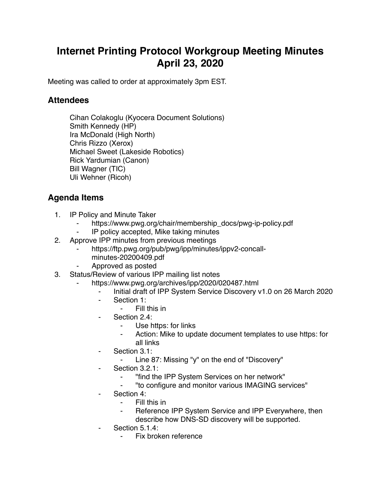## **Internet Printing Protocol Workgroup Meeting Minutes April 23, 2020**

Meeting was called to order at approximately 3pm EST.

## **Attendees**

Cihan Colakoglu (Kyocera Document Solutions) Smith Kennedy (HP) Ira McDonald (High North) Chris Rizzo (Xerox) Michael Sweet (Lakeside Robotics) Rick Yardumian (Canon) Bill Wagner (TIC) Uli Wehner (Ricoh)

## **Agenda Items**

- 1. IP Policy and Minute Taker
	- https://www.pwg.org/chair/membership\_docs/pwg-ip-policy.pdf
	- IP policy accepted, Mike taking minutes
- 2. Approve IPP minutes from previous meetings
	- https://ftp.pwg.org/pub/pwg/ipp/minutes/ippv2-concall
		- minutes-20200409.pdf
	- ⁃ Approved as posted
- 3. Status/Review of various IPP mailing list notes
	- https://www.pwg.org/archives/ipp/2020/020487.html
		- Initial draft of IPP System Service Discovery v1.0 on 26 March 2020
		- Section 1:
			- ⁃ Fill this in
			- Section 2.4:
				- ⁃ Use https: for links
				- Action: Mike to update document templates to use https: for all links
		- Section 3.1:
			- ⁃ Line 87: Missing "y" on the end of "Discovery"
		- Section 3.2.1:
			- ⁃ "find the IPP System Services on her network"
			- ⁃ "to configure and monitor various IMAGING services"
		- Section 4:
			- Fill this in
			- Reference IPP System Service and IPP Everywhere, then describe how DNS-SD discovery will be supported.
		- Section 5.1.4:
			- ⁃ Fix broken reference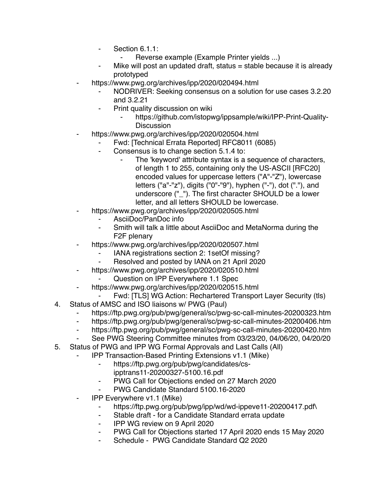- ⁃ Section 6.1.1:
	- Reverse example (Example Printer yields ...)
- Mike will post an updated draft, status  $=$  stable because it is already prototyped
- https://www.pwg.org/archives/ipp/2020/020494.html
	- NODRIVER: Seeking consensus on a solution for use cases 3.2.20 and 3.2.21
	- Print quality discussion on wiki
		- https://github.com/istopwg/ippsample/wiki/IPP-Print-Quality-**Discussion**
- https://www.pwg.org/archives/ipp/2020/020504.html
	- Fwd: [Technical Errata Reported] RFC8011 (6085)
		- Consensus is to change section 5.1.4 to:
			- The 'keyword' attribute syntax is a sequence of characters, of length 1 to 255, containing only the US-ASCII [RFC20] encoded values for uppercase letters ("A"-"Z"), lowercase letters ("a"-"z"), digits ("0"-"9"), hyphen ("-"), dot ("."), and underscore ("\_"). The first character SHOULD be a lower letter, and all letters SHOULD be lowercase.
- https://www.pwg.org/archives/ipp/2020/020505.html
	- AsciiDoc/PanDoc info
	- ⁃ Smith will talk a little about AsciiDoc and MetaNorma during the F2F plenary
	- https://www.pwg.org/archives/ipp/2020/020507.html
		- IANA registrations section 2: 1setOf missing?
		- Resolved and posted by IANA on 21 April 2020
- https://www.pwg.org/archives/ipp/2020/020510.html
	- Question on IPP Everywhere 1.1 Spec
	- https://www.pwg.org/archives/ipp/2020/020515.html
- Fwd: [TLS] WG Action: Rechartered Transport Layer Security (tls)
- 4. Status of AMSC and ISO liaisons w/ PWG (Paul)
	- ⁃ https://ftp.pwg.org/pub/pwg/general/sc/pwg-sc-call-minutes-20200323.htm
	- https://ftp.pwg.org/pub/pwg/general/sc/pwg-sc-call-minutes-20200406.htm
	- https://ftp.pwg.org/pub/pwg/general/sc/pwg-sc-call-minutes-20200420.htm
	- See PWG Steering Committee minutes from 03/23/20, 04/06/20, 04/20/20
- 5. Status of PWG and IPP WG Formal Approvals and Last Calls (All)
	- **IPP Transaction-Based Printing Extensions v1.1 (Mike)** 
		- ⁃ https://ftp.pwg.org/pub/pwg/candidates/cs
			- ipptrans11-20200327-5100.16.pdf
		- ⁃ PWG Call for Objections ended on 27 March 2020
		- PWG Candidate Standard 5100.16-2020
		- ⁃ IPP Everywhere v1.1 (Mike)
			- https://ftp.pwg.org/pub/pwg/ipp/wd/wd-ippeve11-20200417.pdf
			- ⁃ Stable draft for a Candidate Standard errata update
			- ⁃ IPP WG review on 9 April 2020
			- PWG Call for Objections started 17 April 2020 ends 15 May 2020
			- Schedule PWG Candidate Standard Q2 2020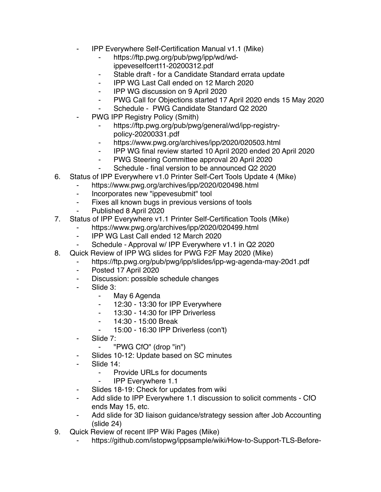- ⁃ IPP Everywhere Self-Certification Manual v1.1 (Mike)
	- ⁃ https://ftp.pwg.org/pub/pwg/ipp/wd/wdippeveselfcert11-20200312.pdf
	- Stable draft for a Candidate Standard errata update
	- ⁃ IPP WG Last Call ended on 12 March 2020
	- ⁃ IPP WG discussion on 9 April 2020
	- ⁃ PWG Call for Objections started 17 April 2020 ends 15 May 2020
	- Schedule PWG Candidate Standard Q2 2020
- PWG IPP Registry Policy (Smith)
	- https://ftp.pwg.org/pub/pwg/general/wd/ipp-registrvpolicy-20200331.pdf
	- ⁃ https://www.pwg.org/archives/ipp/2020/020503.html
	- ⁃ IPP WG final review started 10 April 2020 ended 20 April 2020
	- ⁃ PWG Steering Committee approval 20 April 2020
	- Schedule final version to be announced Q2 2020
- 6. Status of IPP Everywhere v1.0 Printer Self-Cert Tools Update 4 (Mike)
	- ⁃ https://www.pwg.org/archives/ipp/2020/020498.html
	- ⁃ Incorporates new "ippevesubmit" tool
	- ⁃ Fixes all known bugs in previous versions of tools
	- ⁃ Published 8 April 2020
- 7. Status of IPP Everywhere v1.1 Printer Self-Certification Tools (Mike)
	- https://www.pwg.org/archives/ipp/2020/020499.html
	- ⁃ IPP WG Last Call ended 12 March 2020
	- ⁃ Schedule Approval w/ IPP Everywhere v1.1 in Q2 2020
- 8. Quick Review of IPP WG slides for PWG F2F May 2020 (Mike)
	- https://ftp.pwg.org/pub/pwg/ipp/slides/ipp-wg-agenda-may-20d1.pdf
	- ⁃ Posted 17 April 2020
	- Discussion: possible schedule changes
	- Slide 3:
		- ⁃ May 6 Agenda
		- ⁃ 12:30 13:30 for IPP Everywhere
		- ⁃ 13:30 14:30 for IPP Driverless
		- ⁃ 14:30 15:00 Break
		- ⁃ 15:00 16:30 IPP Driverless (con't)
	- ⁃ Slide 7:
		- ⁃ "PWG CfO" (drop "in")
	- Slides 10-12: Update based on SC minutes
	- Slide 14:
		- ⁃ Provide URLs for documents
			- **IPP Everywhere 1.1**
	- Slides 18-19: Check for updates from wiki
	- ⁃ Add slide to IPP Everywhere 1.1 discussion to solicit comments CfO ends May 15, etc.
	- Add slide for 3D liaison guidance/strategy session after Job Accounting (slide 24)
- 9. Quick Review of recent IPP Wiki Pages (Mike)
	- https://github.com/istopwg/ippsample/wiki/How-to-Support-TLS-Before-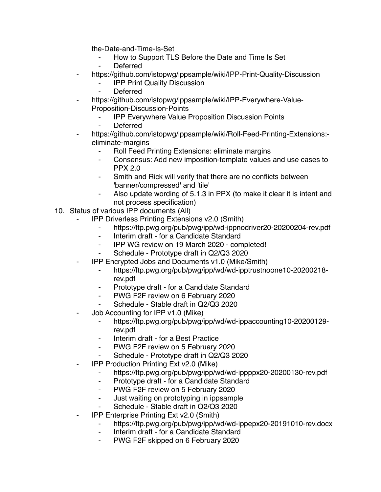the-Date-and-Time-Is-Set

- ⁃ How to Support TLS Before the Date and Time Is Set
- **Deferred**
- ⁃ https://github.com/istopwg/ippsample/wiki/IPP-Print-Quality-Discussion
	- ⁃ IPP Print Quality Discussion
	- **Deferred**
- https://github.com/istopwg/ippsample/wiki/IPP-Everywhere-Value-Proposition-Discussion-Points
	- **IPP Everywhere Value Proposition Discussion Points**
	- ⁃ Deferred
- https://github.com/istopwg/ippsample/wiki/Roll-Feed-Printing-Extensions:eliminate-margins
	- Roll Feed Printing Extensions: eliminate margins
	- ⁃ Consensus: Add new imposition-template values and use cases to PPX 2.0
	- Smith and Rick will verify that there are no conflicts between 'banner/compressed' and 'tile'
	- Also update wording of 5.1.3 in PPX (to make it clear it is intent and not process specification)
- 10. Status of various IPP documents (All)
	- **IPP Driverless Printing Extensions v2.0 (Smith)** 
		- ⁃ https://ftp.pwg.org/pub/pwg/ipp/wd-ippnodriver20-20200204-rev.pdf
		- Interim draft for a Candidate Standard
		- ⁃ IPP WG review on 19 March 2020 completed!
		- Schedule Prototype draft in Q2/Q3 2020
	- ⁃ IPP Encrypted Jobs and Documents v1.0 (Mike/Smith)
		- ⁃ https://ftp.pwg.org/pub/pwg/ipp/wd/wd-ipptrustnoone10-20200218 rev.pdf
		- Prototype draft for a Candidate Standard
		- ⁃ PWG F2F review on 6 February 2020
		- Schedule Stable draft in Q2/Q3 2020
	- Job Accounting for IPP v1.0 (Mike)
		- https://ftp.pwg.org/pub/pwg/ipp/wd/wd-ippaccounting10-20200129rev.pdf
		- Interim draft for a Best Practice
		- PWG F2F review on 5 February 2020
		- ⁃ Schedule Prototype draft in Q2/Q3 2020
	- **IPP Production Printing Ext v2.0 (Mike)** 
		- https://ftp.pwg.org/pub/pwg/ipp/wd/wd-ippppx20-20200130-rev.pdf
		- ⁃ Prototype draft for a Candidate Standard
		- ⁃ PWG F2F review on 5 February 2020
		- ⁃ Just waiting on prototyping in ippsample
		- Schedule Stable draft in Q2/Q3 2020
	- **IPP Enterprise Printing Ext v2.0 (Smith)** 
		- https://ftp.pwg.org/pub/pwg/ipp/wd/wd-ippepx20-20191010-rev.docx
		- ⁃ Interim draft for a Candidate Standard
		- PWG F2F skipped on 6 February 2020